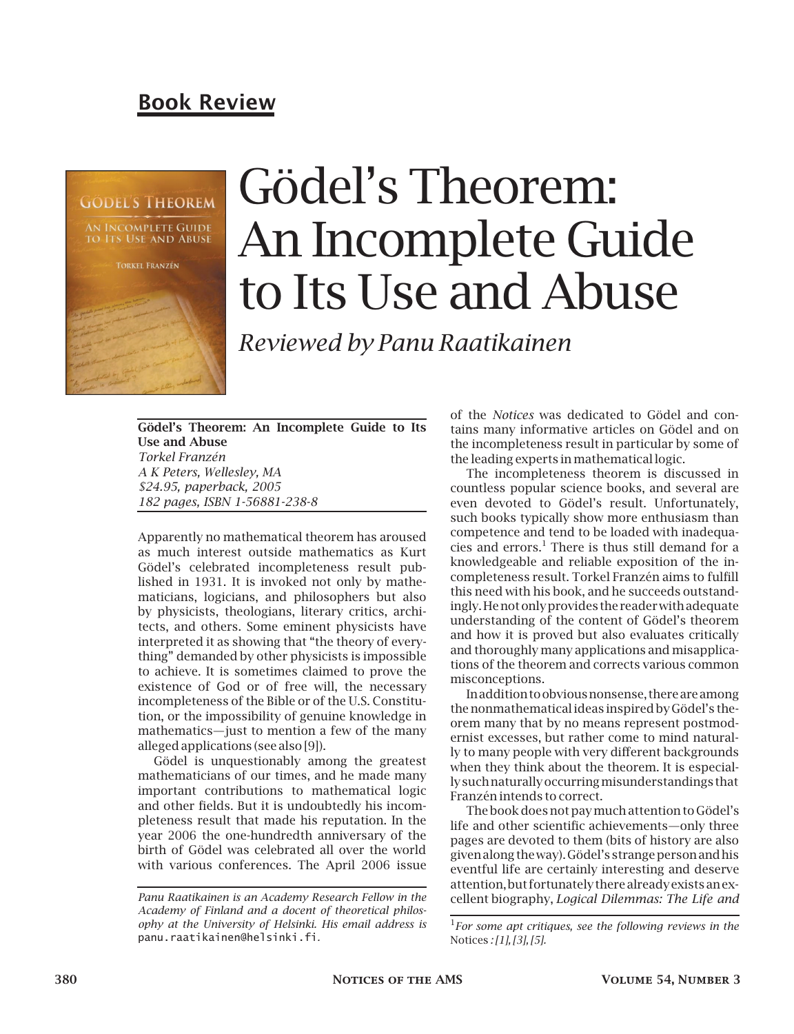## Book Review



# Gödel's Theorem: An Incomplete Guide to Its Use and Abuse

*Reviewed by Panu Raatikainen*

Gödel's Theorem: An Incomplete Guide to Its Use and Abuse *Torkel Franzén A K Peters, Wellesley, MA \$24.95, paperback, 2005 182 pages, ISBN 1-56881-238-8*

Apparently no mathematical theorem has aroused as much interest outside mathematics as Kurt Gödel's celebrated incompleteness result published in 1931. It is invoked not only by mathematicians, logicians, and philosophers but also by physicists, theologians, literary critics, architects, and others. Some eminent physicists have interpreted it as showing that "the theory of everything" demanded by other physicists is impossible to achieve. It is sometimes claimed to prove the existence of God or of free will, the necessary incompleteness of the Bible or of the U.S. Constitution, or the impossibility of genuine knowledge in mathematics—just to mention a few of the many alleged applications (see also [9]).

Gödel is unquestionably among the greatest mathematicians of our times, and he made many important contributions to mathematical logic and other fields. But it is undoubtedly his incompleteness result that made his reputation. In the year 2006 the one-hundredth anniversary of the birth of Gödel was celebrated all over the world with various conferences. The April 2006 issue

of the *Notices* was dedicated to Gödel and contains many informative articles on Gödel and on the incompleteness result in particular by some of the leading experts in mathematical logic.

The incompleteness theorem is discussed in countless popular science books, and several are even devoted to Gödel's result. Unfortunately, such books typically show more enthusiasm than competence and tend to be loaded with inadequacies and errors.<sup>1</sup> There is thus still demand for a knowledgeable and reliable exposition of the incompleteness result. Torkel Franzén aims to fulfill this need with his book, and he succeeds outstandingly.Henotonlyprovides the readerwith adequate understanding of the content of Gödel's theorem and how it is proved but also evaluates critically and thoroughly many applications and misapplications of the theorem and corrects various common misconceptions.

Inaddition toobviousnonsense, there are among the nonmathematical ideas inspired by Gödel's theorem many that by no means represent postmodernist excesses, but rather come to mind naturally to many people with very different backgrounds when they think about the theorem. It is especially suchnaturallyoccurringmisunderstandings that Franzén intends to correct.

The book does not paymuch attention to Gödel's life and other scientific achievements—only three pages are devoted to them (bits of history are also given along theway). Gödel's strangeperson andhis eventful life are certainly interesting and deserve attention, but fortunately there already exists an excellent biography, *Logical Dilemmas: The Life and*

*Panu Raatikainen is an Academy Research Fellow in the Academy of Finland and a docent of theoretical philosophy at the University of Helsinki. His email address is* panu.raatikainen@helsinki.fi*.*

<sup>1</sup> *For some apt critiques, see the following reviews in the* Notices *: [1], [3], [5].*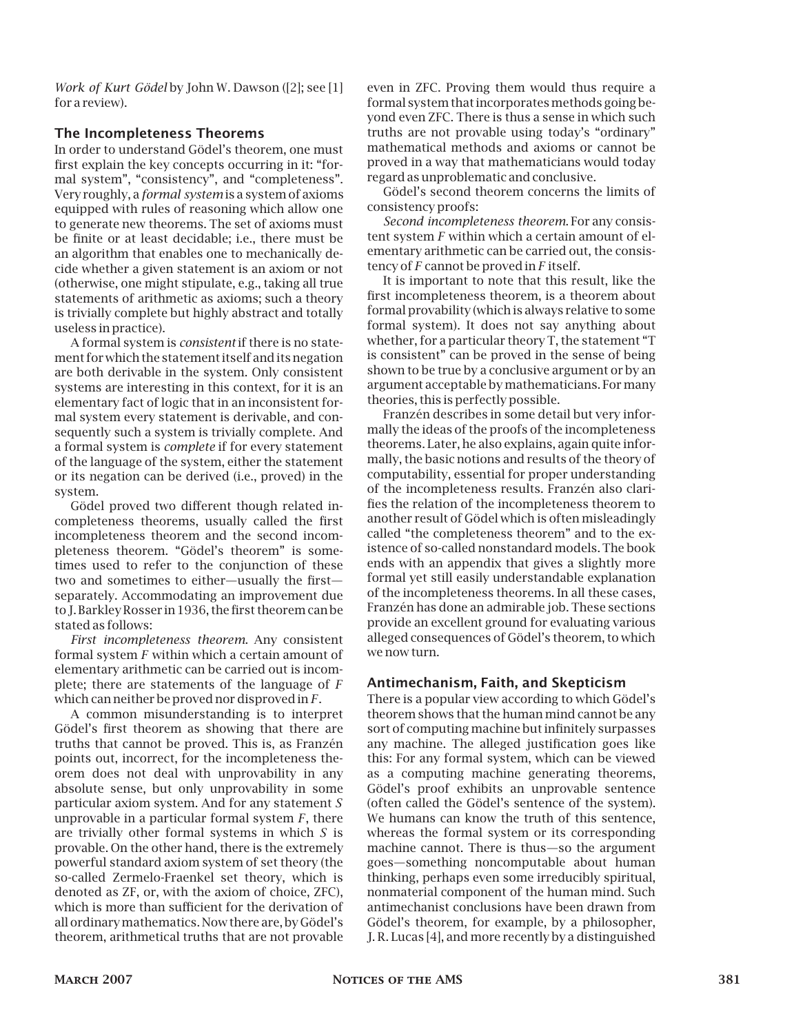*Work of Kurt Gödel* by John W. Dawson ([2]; see [1] for a review).

#### The Incompleteness Theorems

In order to understand Gödel's theorem, one must first explain the key concepts occurring in it: "formal system", "consistency", and "completeness". Very roughly, a *formal system* is a system of axioms equipped with rules of reasoning which allow one to generate new theorems. The set of axioms must be finite or at least decidable; i.e., there must be an algorithm that enables one to mechanically decide whether a given statement is an axiom or not (otherwise, one might stipulate, e.g., taking all true statements of arithmetic as axioms; such a theory is trivially complete but highly abstract and totally useless in practice).

A formal system is *consistent* if there is no statement for which the statement itself and its negation are both derivable in the system. Only consistent systems are interesting in this context, for it is an elementary fact of logic that in an inconsistent formal system every statement is derivable, and consequently such a system is trivially complete. And a formal system is *complete* if for every statement of the language of the system, either the statement or its negation can be derived (i.e., proved) in the system.

Gödel proved two different though related incompleteness theorems, usually called the first incompleteness theorem and the second incompleteness theorem. "Gödel's theorem" is sometimes used to refer to the conjunction of these two and sometimes to either—usually the first separately. Accommodating an improvement due to J. Barkley Rosser in 1936, the first theorem can be stated as follows:

*First incompleteness theorem*. Any consistent formal system *F* within which a certain amount of elementary arithmetic can be carried out is incomplete; there are statements of the language of *F* which can neither be proved nor disproved in *F*.

A common misunderstanding is to interpret Gödel's first theorem as showing that there are truths that cannot be proved. This is, as Franzén points out, incorrect, for the incompleteness theorem does not deal with unprovability in any absolute sense, but only unprovability in some particular axiom system. And for any statement *S* unprovable in a particular formal system *F*, there are trivially other formal systems in which *S* is provable. On the other hand, there is the extremely powerful standard axiom system of set theory (the so-called Zermelo-Fraenkel set theory, which is denoted as ZF, or, with the axiom of choice, ZFC), which is more than sufficient for the derivation of all ordinarymathematics. Now there are, by Gödel's theorem, arithmetical truths that are not provable

even in ZFC. Proving them would thus require a formal system that incorporates methods going beyond even ZFC. There is thus a sense in which such truths are not provable using today's "ordinary" mathematical methods and axioms or cannot be proved in a way that mathematicians would today regard as unproblematic and conclusive.

Gödel's second theorem concerns the limits of consistency proofs:

*Second incompleteness theorem*. For any consistent system *F* within which a certain amount of elementary arithmetic can be carried out, the consistency of *F* cannot be proved in *F* itself.

It is important to note that this result, like the first incompleteness theorem, is a theorem about formal provability (which is always relative to some formal system). It does not say anything about whether, for a particular theory T, the statement "T is consistent" can be proved in the sense of being shown to be true by a conclusive argument or by an argument acceptable by mathematicians. For many theories, this is perfectly possible.

Franzén describes in some detail but very informally the ideas of the proofs of the incompleteness theorems. Later, he also explains, again quite informally, the basic notions and results of the theory of computability, essential for proper understanding of the incompleteness results. Franzén also clarifies the relation of the incompleteness theorem to another result of Gödel which is often misleadingly called "the completeness theorem" and to the existence of so-called nonstandard models. The book ends with an appendix that gives a slightly more formal yet still easily understandable explanation of the incompleteness theorems. In all these cases, Franzén has done an admirable job. These sections provide an excellent ground for evaluating various alleged consequences of Gödel's theorem, to which we now turn.

#### Antimechanism, Faith, and Skepticism

There is a popular view according to which Gödel's theorem shows that the human mind cannot be any sort of computing machine but infinitely surpasses any machine. The alleged justification goes like this: For any formal system, which can be viewed as a computing machine generating theorems, Gödel's proof exhibits an unprovable sentence (often called the Gödel's sentence of the system). We humans can know the truth of this sentence, whereas the formal system or its corresponding machine cannot. There is thus—so the argument goes—something noncomputable about human thinking, perhaps even some irreducibly spiritual, nonmaterial component of the human mind. Such antimechanist conclusions have been drawn from Gödel's theorem, for example, by a philosopher, J. R. Lucas [4], and more recently by a distinguished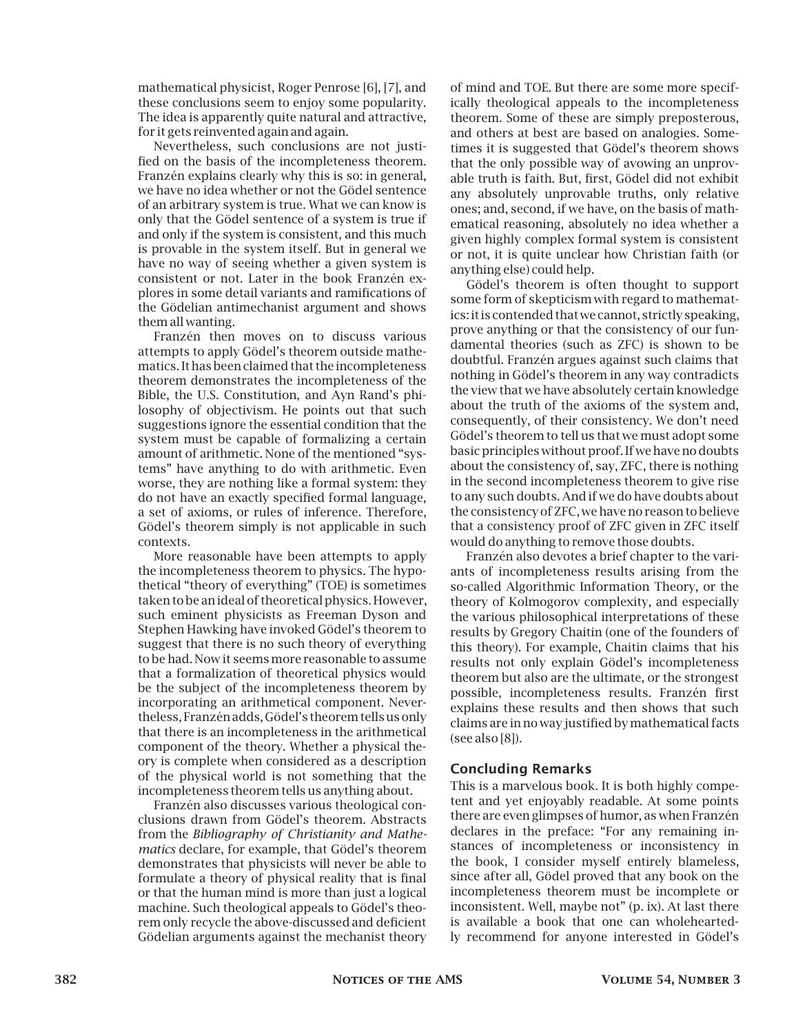mathematical physicist, Roger Penrose [6], [7], and these conclusions seem to enjoy some popularity. The idea is apparently quite natural and attractive, for it gets reinvented again and again.

Nevertheless, such conclusions are not justified on the basis of the incompleteness theorem. Franzén explains clearly why this is so: in general, we have no idea whether or not the Gödel sentence of an arbitrary system is true. What we can know is only that the Gödel sentence of a system is true if and only if the system is consistent, and this much is provable in the system itself. But in general we have no way of seeing whether a given system is consistent or not. Later in the book Franzén explores in some detail variants and ramifications of the Gödelian antimechanist argument and shows them all wanting.

Franzén then moves on to discuss various attempts to apply Gödel's theorem outside mathematics. It has been claimed that the incompleteness theorem demonstrates the incompleteness of the Bible, the U.S. Constitution, and Ayn Rand's philosophy of objectivism. He points out that such suggestions ignore the essential condition that the system must be capable of formalizing a certain amount of arithmetic. None of the mentioned "systems" have anything to do with arithmetic. Even worse, they are nothing like a formal system: they do not have an exactly specified formal language, a set of axioms, or rules of inference. Therefore, Gödel's theorem simply is not applicable in such contexts.

More reasonable have been attempts to apply the incompleteness theorem to physics. The hypothetical "theory of everything" (TOE) is sometimes taken to be an ideal of theoretical physics. However, such eminent physicists as Freeman Dyson and Stephen Hawking have invoked Gödel's theorem to suggest that there is no such theory of everything to be had. Now it seemsmore reasonable to assume that a formalization of theoretical physics would be the subject of the incompleteness theorem by incorporating an arithmetical component. Nevertheless, Franzén adds, Gödel's theorem tells us only that there is an incompleteness in the arithmetical component of the theory. Whether a physical theory is complete when considered as a description of the physical world is not something that the incompleteness theorem tells us anything about.

Franzén also discusses various theological conclusions drawn from Gödel's theorem. Abstracts from the *Bibliography of Christianity and Mathematics* declare, for example, that Gödel's theorem demonstrates that physicists will never be able to formulate a theory of physical reality that is final or that the human mind is more than just a logical machine. Such theological appeals to Gödel's theorem only recycle the above-discussed and deficient Gödelian arguments against the mechanist theory of mind and TOE. But there are some more specifically theological appeals to the incompleteness theorem. Some of these are simply preposterous, and others at best are based on analogies. Sometimes it is suggested that Gödel's theorem shows that the only possible way of avowing an unprovable truth is faith. But, first, Gödel did not exhibit any absolutely unprovable truths, only relative ones; and, second, if we have, on the basis of mathematical reasoning, absolutely no idea whether a given highly complex formal system is consistent or not, it is quite unclear how Christian faith (or anything else) could help.

Gödel's theorem is often thought to support some form of skepticism with regard to mathematics: it is contended thatwe cannot, strictly speaking, prove anything or that the consistency of our fundamental theories (such as ZFC) is shown to be doubtful. Franzén argues against such claims that nothing in Gödel's theorem in any way contradicts the view that we have absolutely certain knowledge about the truth of the axioms of the system and, consequently, of their consistency. We don't need Gödel's theorem to tell us that we must adopt some basic principles without proof. If we have no doubts about the consistency of, say, ZFC, there is nothing in the second incompleteness theorem to give rise to any such doubts. And if we do have doubts about the consistency of ZFC, we have no reason to believe that a consistency proof of ZFC given in ZFC itself would do anything to remove those doubts.

Franzén also devotes a brief chapter to the variants of incompleteness results arising from the so-called Algorithmic Information Theory, or the theory of Kolmogorov complexity, and especially the various philosophical interpretations of these results by Gregory Chaitin (one of the founders of this theory). For example, Chaitin claims that his results not only explain Gödel's incompleteness theorem but also are the ultimate, or the strongest possible, incompleteness results. Franzén first explains these results and then shows that such claims are in no way justified by mathematical facts (see also [8]).

### Concluding Remarks

This is a marvelous book. It is both highly competent and yet enjoyably readable. At some points there are even glimpses of humor, as when Franzén declares in the preface: "For any remaining instances of incompleteness or inconsistency in the book, I consider myself entirely blameless, since after all, Gödel proved that any book on the incompleteness theorem must be incomplete or inconsistent. Well, maybe not" (p. ix). At last there is available a book that one can wholeheartedly recommend for anyone interested in Gödel's